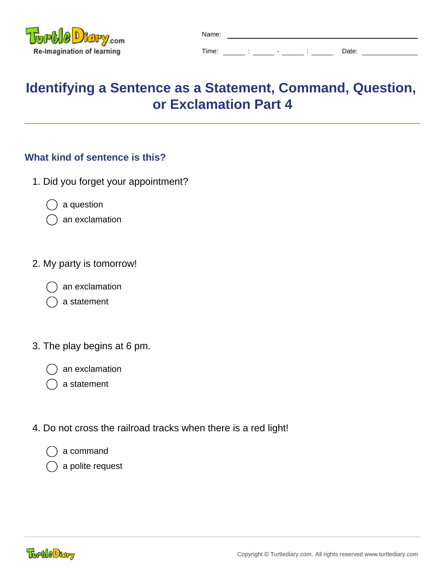

| Name: |  |   |   |       |
|-------|--|---|---|-------|
| Time: |  | - | ٠ | Date: |

## **Identifying a Sentence as a Statement, Command, Question, or Exclamation Part 4**

## **What kind of sentence is this?**

- 1. Did you forget your appointment?
	- a question
	- an exclamation
- 2. My party is tomorrow!
	- an exclamation
	- a statement
- 3. The play begins at 6 pm.
	- an exclamation
	- a statement
- 4. Do not cross the railroad tracks when there is a red light!
	- a command
	- a polite request

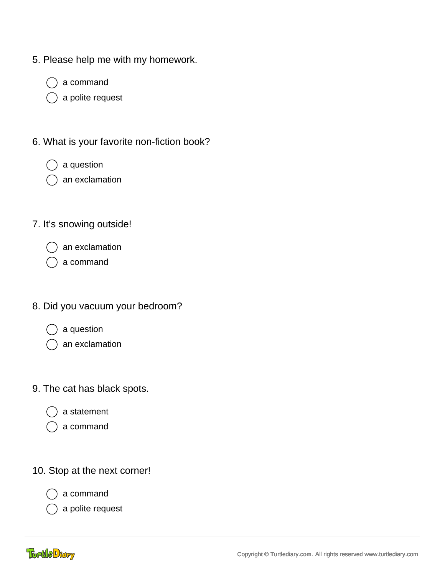- 5. Please help me with my homework.
	- a command
	- a polite request
- 6. What is your favorite non-fiction book?
	- a question
	- an exclamation
- 7. It's snowing outside!
	- an exclamation
	- a command
- 8. Did you vacuum your bedroom?
	- a question
	- an exclamation
- 9. The cat has black spots.
	- a statement
	- a command
- 10. Stop at the next corner!



a command

a polite request

**TortleDtary**